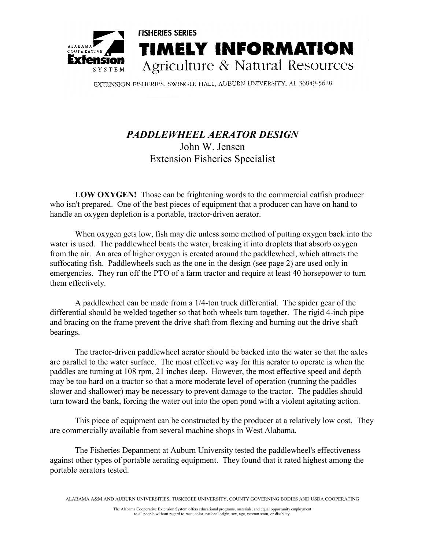

EXTENSION FISHERIES, SWINGLE HALL, AUBURN UNIVERSITY, AL 36849-5628

## *PADDLEWHEEL AERATOR DESIGN* John W. Jensen Extension Fisheries Specialist

**LOW OXYGEN!** Those can be frightening words to the commercial catfish producer who isn't prepared. One of the best pieces of equipment that a producer can have on hand to handle an oxygen depletion is a portable, tractor-driven aerator.

When oxygen gets low, fish may die unless some method of putting oxygen back into the water is used. The paddlewheel beats the water, breaking it into droplets that absorb oxygen from the air. An area of higher oxygen is created around the paddlewheel, which attracts the suffocating fish. Paddlewheels such as the one in the design (see page 2) are used only in emergencies. They run off the PTO of a farm tractor and require at least 40 horsepower to turn them effectively.

A paddlewheel can be made from a 1/4-ton truck differential. The spider gear of the differential should be welded together so that both wheels turn together. The rigid 4-inch pipe and bracing on the frame prevent the drive shaft from flexing and burning out the drive shaft bearings.

The tractor-driven paddlewheel aerator should be backed into the water so that the axles are parallel to the water surface. The most effective way for this aerator to operate is when the paddles are turning at 108 rpm, 21 inches deep. However, the most effective speed and depth may be too hard on a tractor so that a more moderate level of operation (running the paddles slower and shallower) may be necessary to prevent damage to the tractor. The paddles should turn toward the bank, forcing the water out into the open pond with a violent agitating action.

This piece of equipment can be constructed by the producer at a relatively low cost. They are commercially available from several machine shops in West Alabama.

The Fisheries Depanment at Auburn University tested the paddlewheel's effectiveness against other types of portable aerating equipment. They found that it rated highest among the portable aerators tested.

ALABAMA A&M AND AUBURN UNIVERSITIES, TUSKEGEE UNIVERSITY, COUNTY GOVERNING BODIES AND USDA COOPERATING

The Alabama Cooperative Extension System offers educational programs, materials, and equal opportunity employment to all people without regard to race, color, national origin, sex, age, veteran statu, or disability.